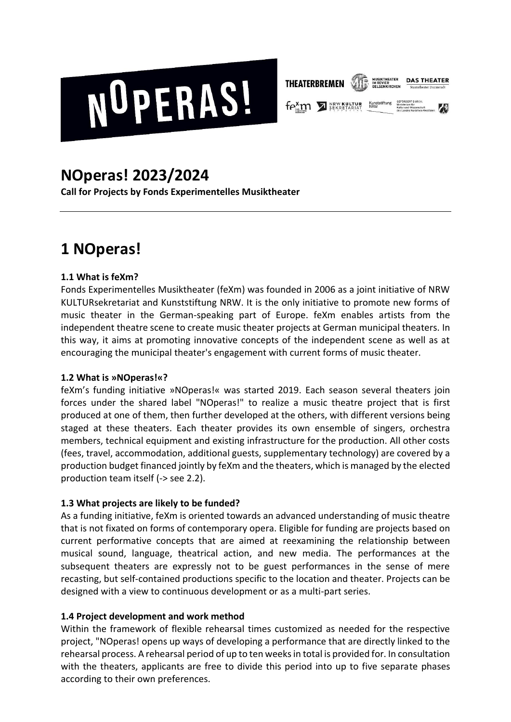



**fext 7 SEKRETARIAT** Kunststift<br>NRM

# **NOperas! 2023/2024**

**Call for Projects by Fonds Experimentelles Musiktheater** 

# **1 NOperas!**

## **1.1 What is feXm?**

Fonds Experimentelles Musiktheater (feXm) was founded in 2006 as a joint initiative of NRW KULTURsekretariat and Kunststiftung NRW. It is the only initiative to promote new forms of music theater in the German-speaking part of Europe. feXm enables artists from the independent theatre scene to create music theater projects at German municipal theaters. In this way, it aims at promoting innovative concepts of the independent scene as well as at encouraging the municipal theater's engagement with current forms of music theater.

#### **1.2 What is »NOperas!«?**

feXm's funding initiative »NOperas!« was started 2019. Each season several theaters join forces under the shared label "NOperas!" to realize a music theatre project that is first produced at one of them, then further developed at the others, with different versions being staged at these theaters. Each theater provides its own ensemble of singers, orchestra members, technical equipment and existing infrastructure for the production. All other costs (fees, travel, accommodation, additional guests, supplementary technology) are covered by a production budget financed jointly by feXm and the theaters, which is managed by the elected production team itself (-> see 2.2).

## **1.3 What projects are likely to be funded?**

As a funding initiative, feXm is oriented towards an advanced understanding of music theatre that is not fixated on forms of contemporary opera. Eligible for funding are projects based on current performative concepts that are aimed at reexamining the relationship between musical sound, language, theatrical action, and new media. The performances at the subsequent theaters are expressly not to be guest performances in the sense of mere recasting, but self-contained productions specific to the location and theater. Projects can be designed with a view to continuous development or as a multi-part series.

#### **1.4 Project development and work method**

Within the framework of flexible rehearsal times customized as needed for the respective project, "NOperas! opens up ways of developing a performance that are directly linked to the rehearsal process. A rehearsal period of up to ten weeks in total is provided for. In consultation with the theaters, applicants are free to divide this period into up to five separate phases according to their own preferences.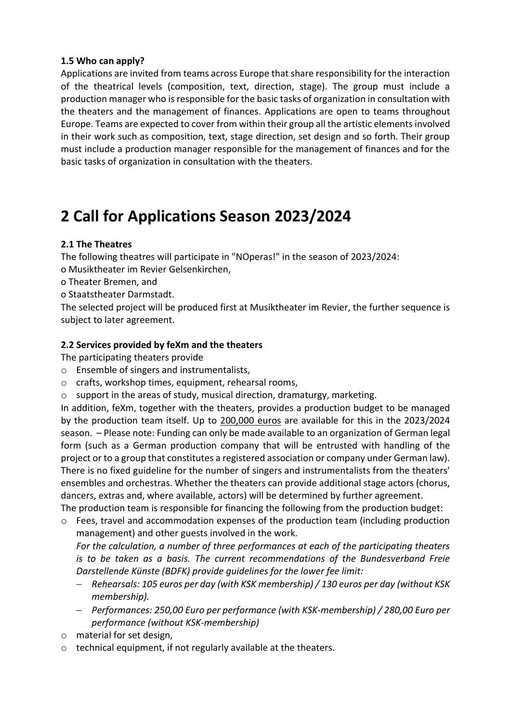#### **1.5 Who can apply?**

Applications are invited from teams across Europe that share responsibility for the interaction of the theatrical levels (composition, text, direction, stage). The group must include a production manager who is responsible for the basic tasks of organization in consultation with the theaters and the management of finances. Applications are open to teams throughout Europe. Teams are expected to cover from within their group all the artistic elements involved in their work such as composition, text, stage direction, set design and so forth. Their group must include a production manager responsible for the management of finances and for the basic tasks of organization in consultation with the theaters.

## **2 Call for Applications Season 2023/2024**

#### **2.1 The Theatres**

The following theatres will participate in "NOperas!" in the season of 2023/2024:

- o Musiktheater im Revier Gelsenkirchen,
- o Theater Bremen, and
- o Staatstheater Darmstadt.

The selected project will be produced first at Musiktheater im Revier, the further sequence is subject to later agreement.

#### **2.2 Services provided by feXm and the theaters**

The participating theaters provide

- o Ensemble of singers and instrumentalists,
- o crafts, workshop times, equipment, rehearsal rooms,
- o support in the areas of study, musical direction, dramaturgy, marketing.

In addition, feXm, together with the theaters, provides a production budget to be managed by the production team itself. Up to 200,000 euros are available for this in the 2023/2024 season. – Please note: Funding can only be made available to an organization of German legal form (such as a German production company that will be entrusted with handling of the project or to a group that constitutes a registered association or company under German law). There is no fixed guideline for the number of singers and instrumentalists from the theaters' ensembles and orchestras. Whether the theaters can provide additional stage actors (chorus, dancers, extras and, where available, actors) will be determined by further agreement. The production team is responsible for financing the following from the production budget:

o Fees, travel and accommodation expenses of the production team (including production management) and other guests involved in the work.

*For the calculation, a number of three performances at each of the participating theaters is to be taken as a basis. The current recommendations of the Bundesverband Freie Darstellende Künste (BDFK) provide guidelines for the lower fee limit:* 

- − *Rehearsals: 105 euros per day (with KSK membership) / 130 euros per day (without KSK membership).*
- − *Performances: 250,00 Euro per performance (with KSK-membership) / 280,00 Euro per performance (without KSK-membership)*
- o material for set design,
- o technical equipment, if not regularly available at the theaters.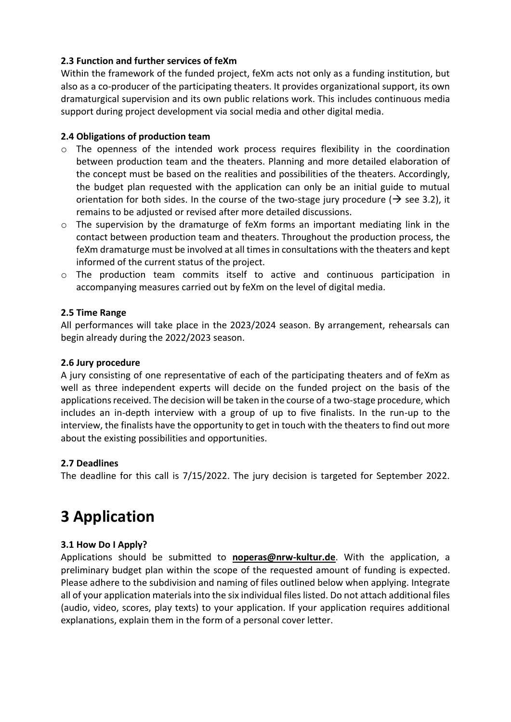#### **2.3 Function and further services of feXm**

Within the framework of the funded project, feXm acts not only as a funding institution, but also as a co-producer of the participating theaters. It provides organizational support, its own dramaturgical supervision and its own public relations work. This includes continuous media support during project development via social media and other digital media.

#### **2.4 Obligations of production team**

- o The openness of the intended work process requires flexibility in the coordination between production team and the theaters. Planning and more detailed elaboration of the concept must be based on the realities and possibilities of the theaters. Accordingly, the budget plan requested with the application can only be an initial guide to mutual orientation for both sides. In the course of the two-stage jury procedure ( $\rightarrow$  see 3.2), it remains to be adjusted or revised after more detailed discussions.
- $\circ$  The supervision by the dramaturge of feXm forms an important mediating link in the contact between production team and theaters. Throughout the production process, the feXm dramaturge must be involved at all times in consultations with the theaters and kept informed of the current status of the project.
- o The production team commits itself to active and continuous participation in accompanying measures carried out by feXm on the level of digital media.

#### **2.5 Time Range**

All performances will take place in the 2023/2024 season. By arrangement, rehearsals can begin already during the 2022/2023 season.

#### **2.6 Jury procedure**

A jury consisting of one representative of each of the participating theaters and of feXm as well as three independent experts will decide on the funded project on the basis of the applications received. The decision will be taken in the course of a two-stage procedure, which includes an in-depth interview with a group of up to five finalists. In the run-up to the interview, the finalists have the opportunity to get in touch with the theaters to find out more about the existing possibilities and opportunities.

#### **2.7 Deadlines**

The deadline for this call is 7/15/2022. The jury decision is targeted for September 2022.

# **3 Application**

#### **3.1 How Do I Apply?**

Applications should be submitted to **noperas@nrw-kultur.de**. With the application, a preliminary budget plan within the scope of the requested amount of funding is expected. Please adhere to the subdivision and naming of files outlined below when applying. Integrate all of your application materials into the six individual files listed. Do not attach additional files (audio, video, scores, play texts) to your application. If your application requires additional explanations, explain them in the form of a personal cover letter.